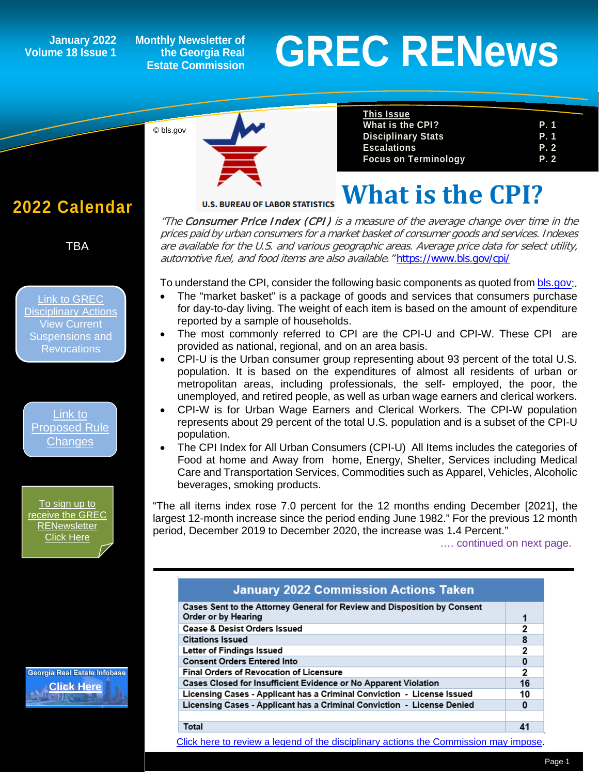## **Volume 18 Issue 1**

**Monthly Newsletter of the Georgia Real Estate Commission**

# **GREC RENEWS**<br> **GREC RENEWS**<br>
Estate Commission

**2022 Calendar**

*1*

TBA

[Link to GREC](https://grec.state.ga.us/information-research/disciplinary-actions/real-estate/)  [Disciplinary Actions](https://grec.state.ga.us/information-research/disciplinary-actions/real-estate/) View Current Suspensions and Revocations

[Link to](https://grec.state.ga.us/information-research/legislation/real-estate/)  [Proposed Rule](https://grec.state.ga.us/information-research/legislation/real-estate/)  **[Changes](https://grec.state.ga.us/information-research/legislation/real-estate/)** 

To sign up to [receive the GREC](https://grec.state.ga.us/newsletters/)  **RENewsletter** [Click Here](https://grec.state.ga.us/newsletters/)

Georgia Real Estate Infobase **[Click Here](https://www.grec.state.ga.us/infobase/infobase.html)**



| <u>This Issue</u>           |            |
|-----------------------------|------------|
| What is the CPI?            | P. 1       |
| <b>Disciplinary Stats</b>   | P. 1       |
| <b>Escalations</b>          | <b>P.2</b> |
| <b>Focus on Terminology</b> | P. 2       |

**What is the CPI?**

**U.S. BUREAU OF LABOR STATISTICS** 

"The Consumer Price Index (CPI) is a measure of the average change over time in the prices paid by urban consumers for a market basket of consumer goods and services. Indexes are available for the U.S. and various geographic areas. Average price data for select utility, automotive fuel, and food items are also available." <https://www.bls.gov/cpi/>

To understand the CPI, consider the following basic components as quoted fro[m bls.gov:](https://www.bls.gov/).

- The "market basket" is a package of goods and services that consumers purchase for day-to-day living. The weight of each item is based on the amount of expenditure reported by a sample of households.
- The most commonly referred to CPI are the CPI-U and CPI-W. These CPI are provided as national, regional, and on an area basis.
- CPI-U is the Urban consumer group representing about 93 percent of the total U.S. population. It is based on the expenditures of almost all residents of urban or metropolitan areas, including professionals, the self- employed, the poor, the unemployed, and retired people, as well as urban wage earners and clerical workers.
- CPI-W is for Urban Wage Earners and Clerical Workers. The CPI-W population represents about 29 percent of the total U.S. population and is a subset of the CPI-U population.
- The CPI Index for All Urban Consumers (CPI-U) All Items includes the categories of Food at home and Away from home, Energy, Shelter, Services including Medical Care and Transportation Services, Commodities such as Apparel, Vehicles, Alcoholic beverages, smoking products.

"The all items index rose 7.0 percent for the 12 months ending December [2021], the largest 12-month increase since the period ending June 1982." For the previous 12 month period, December 2019 to December 2020, the increase was 1**.**4 Percent."

…. continued on next page.

| <b>January 2022 Commission Actions Taken</b>                                                    |              |
|-------------------------------------------------------------------------------------------------|--------------|
| Cases Sent to the Attorney General for Review and Disposition by Consent<br>Order or by Hearing | 1            |
| <b>Cease &amp; Desist Orders Issued</b>                                                         | 2            |
| <b>Citations Issued</b>                                                                         | 8            |
| Letter of Findings Issued                                                                       | 2            |
| <b>Consent Orders Entered Into</b>                                                              | 0            |
| <b>Final Orders of Revocation of Licensure</b>                                                  | $\mathbf{2}$ |
| Cases Closed for Insufficient Evidence or No Apparent Violation                                 | 16           |
| Licensing Cases - Applicant has a Criminal Conviction - License Issued                          | 10           |
| Licensing Cases - Applicant has a Criminal Conviction - License Denied                          | $\bf{0}$     |
|                                                                                                 |              |
| Total                                                                                           | 41           |

[Click here to review a legend of the disciplinary actions the Commission may impose.](https://www.jmre.com/grec/GRECDisciplinaryTools.pdf)